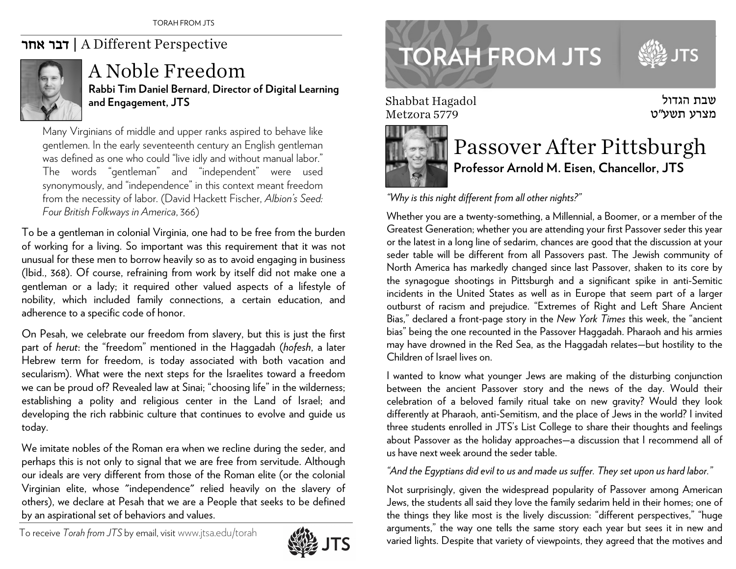## אחר דבר | A Different Perspective



## A Noble Freedom**Rabbi Tim Daniel Bernard, Director of Digital Learning and Engagement, JTS**

Many Virginians of middle and upper ranks aspired to behave like gentlemen. In the early seventeenth century an English gentleman was defined as one who could "live idly and without manual labor." The words "gentleman" and "independent" were used synonymously, and "independence" in this context meant freedom from the necessity of labor. (David Hackett Fischer, *Albion's Seed: Four British Folkways in America*, 366)

To be a gentleman in colonial Virginia, one had to be free from the burden of working for a living. So important was this requirement that it was not unusual for these men to borrow heavily so as to avoid engaging in business (Ibid., 368). Of course, refraining from work by itself did not make one a gentleman or a lady; it required other valued aspects of a lifestyle of nobility, which included family connections, a certain education, and adherence to a specific code of honor.

On Pesah, we celebrate our freedom from slavery, but this is just the first part of *herut*: the "freedom" mentioned in the Haggadah (*hofesh*, a later Hebrew term for freedom, is today associated with both vacation and secularism). What were the next steps for the Israelites toward a freedom we can be proud of? Revealed law at Sinai; "choosing life" in the wilderness; establishing a polity and religious center in the Land of Israel; and developing the rich rabbinic culture that continues to evolve and guide us today.

We imitate nobles of the Roman era when we recline during the seder, and perhaps this is not only to signal that we are free from servitude. Although our ideals are very different from those of the Roman elite (or the colonial Virginian elite, whose "independence" relied heavily on the slavery of others), we declare at Pesah that we are a People that seeks to be defined by an aspirational set of behaviors and values.

To receive *Torah from JTS* by email, visitwww.jtsa.edu/torah





Shabbat Hagadol Metzora 5779



## Passover After Pittsburgh **Professor Arnold M. Eisen, Chancellor, JTS**

שבת הגדול מצרע תשע״ט

**TS** 

*"Why is this night different from all other nights?"* 

Whether you are a twenty-something, a Millennial, a Boomer, or a member of the Greatest Generation; whether you are attending your first Passover seder this year or the latest in a long line of sedarim, chances are good that the discussion at your seder table will be different from all Passovers past. The Jewish community of North America has markedly changed since last Passover, shaken to its core by the synagogue shootings in Pittsburgh and a significant spike in anti-Semitic incidents in the United States as well as in Europe that seem part of a larger outburst of racism and prejudice. "Extremes of Right and Left Share Ancient Bias," declared a front-page story in the *New York Times* this week, the "ancient bias" being the one recounted in the Passover Haggadah. Pharaoh and his armies may have drowned in the Red Sea, as the Haggadah relates—but hostility to the Children of Israel lives on.

I wanted to know what younger Jews are making of the disturbing conjunction between the ancient Passover story and the news of the day. Would their celebration of a beloved family ritual take on new gravity? Would they look differently at Pharaoh, anti-Semitism, and the place of Jews in the world? I invited three students enrolled in JTS's List College to share their thoughts and feelings about Passover as the holiday approaches—a discussion that I recommend all of us have next week around the seder table.

## *"And the Egyptians did evil to us and made us suffer. They set upon us hard labor."*

Not surprisingly, given the widespread popularity of Passover among American Jews, the students all said they love the family sedarim held in their homes; one of the things they like most is the lively discussion: "different perspectives," "huge arguments," the way one tells the same story each year but sees it in new and varied lights. Despite that variety of viewpoints, they agreed that the motives and